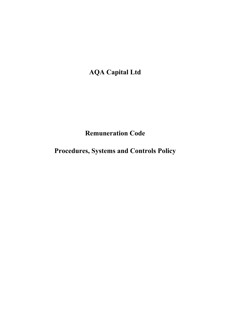**AQA Capital Ltd**

# **Remuneration Code**

**Procedures, Systems and Controls Policy**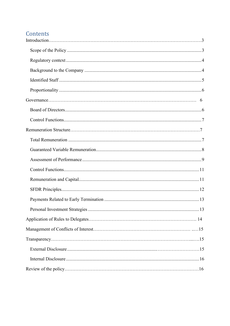# Contents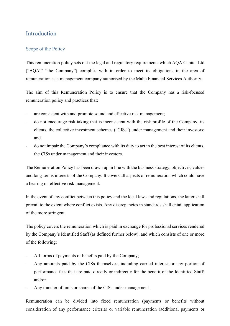## <span id="page-2-0"></span>Introduction

### <span id="page-2-1"></span>Scope of the Policy

This remuneration policy sets out the legal and regulatory requirements which AQA Capital Ltd ("AQA"/ "the Company") complies with in order to meet its obligations in the area of remuneration as a management company authorised by the Malta Financial Services Authority.

The aim of this Remuneration Policy is to ensure that the Company has a risk-focused remuneration policy and practices that:

- are consistent with and promote sound and effective risk management;
- do not encourage risk-taking that is inconsistent with the risk profile of the Company, its clients, the collective investment schemes ("CISs") under management and their investors; and
- do not impair the Company's compliance with its duty to act in the best interest of its clients, the CISs under management and their investors.

The Remuneration Policy has been drawn up in line with the business strategy, objectives, values and long-terms interests of the Company. It covers all aspects of remuneration which could have a bearing on effective risk management.

In the event of any conflict between this policy and the local laws and regulations, the latter shall prevail to the extent where conflict exists. Any discrepancies in standards shall entail application of the more stringent.

The policy covers the remuneration which is paid in exchange for professional services rendered by the Company's Identified Staff (as defined further below), and which consists of one or more of the following:

- All forms of payments or benefits paid by the Company;
- Any amounts paid by the CISs themselves, including carried interest or any portion of performance fees that are paid directly or indirectly for the benefit of the Identified Staff; and/or
- Any transfer of units or shares of the CISs under management.

Remuneration can be divided into fixed remuneration (payments or benefits without consideration of any performance criteria) or variable remuneration (additional payments or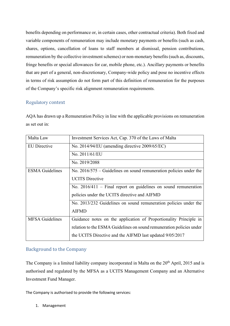benefits depending on performance or, in certain cases, other contractual criteria). Both fixed and variable components of remuneration may include monetary payments or benefits (such as cash, shares, options, cancellation of loans to staff members at dismissal, pension contributions, remuneration by the collective investment schemes) or non-monetary benefits (such as, discounts, fringe benefits or special allowances for car, mobile phone, etc.). Ancillary payments or benefits that are part of a general, non-discretionary, Company-wide policy and pose no incentive effects in terms of risk assumption do not form part of this definition of remuneration for the purposes of the Company's specific risk alignment remuneration requirements.

## <span id="page-3-0"></span>Regulatory context

AQA has drawn up a Remuneration Policy in line with the applicable provisions on remuneration as set out in:

| Malta Law              | Investment Services Act, Cap. 370 of the Laws of Malta               |
|------------------------|----------------------------------------------------------------------|
| <b>EU</b> Directive    | No. 2014/94/EU (amending directive 2009/65/EC)                       |
|                        | No. 2011/61/EU                                                       |
|                        | No. 2019/2088                                                        |
| <b>ESMA Guidelines</b> | No. $2016/575$ – Guidelines on sound remuneration policies under the |
|                        | <b>UCITS Directive</b>                                               |
|                        | No. $2016/411$ – Final report on guidelines on sound remuneration    |
|                        | policies under the UCITS directive and AIFMD                         |
|                        | No. 2013/232 Guidelines on sound remuneration policies under the     |
|                        | <b>AIFMD</b>                                                         |
| <b>MFSA Guidelines</b> | Guidance notes on the application of Proportionality Principle in    |
|                        | relation to the ESMA Guidelines on sound remuneration policies under |
|                        | the UCITS Directive and the AIFMD last updated 9/05/2017             |

## <span id="page-3-1"></span>Background to the Company

The Company is a limited liability company incorporated in Malta on the 20<sup>th</sup> April, 2015 and is authorised and regulated by the MFSA as a UCITS Management Company and an Alternative Investment Fund Manager.

The Company is authorised to provide the following services:

1. Management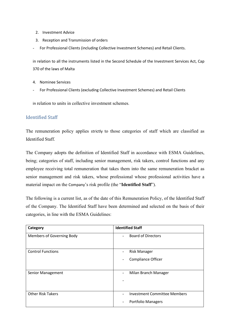- 2. Investment Advice
- 3. Reception and Transmission of orders
- For Professional Clients (including Collective Investment Schemes) and Retail Clients.

in relation to all the instruments listed in the Second Schedule of the Investment Services Act, Cap 370 of the laws of Malta

- 4. Nominee Services
- For Professional Clients (excluding Collective Investment Schemes) and Retail Clients

in relation to units in collective investment schemes.

### <span id="page-4-0"></span>Identified Staff

The remuneration policy applies strictly to those categories of staff which are classified as Identified Staff.

The Company adopts the definition of Identified Staff in accordance with ESMA Guidelines, being; categories of staff, including senior management, risk takers, control functions and any employee receiving total remuneration that takes them into the same remuneration bracket as senior management and risk takers, whose professional whose professional activities have a material impact on the Company's risk profile (the "**Identified Staff**").

The following is a current list, as of the date of this Remuneration Policy, of the Identified Staff of the Company. The Identified Staff have been determined and selected on the basis of their categories, in line with the ESMA Guidelines:

| Category                  | <b>Identified Staff</b>                                                               |
|---------------------------|---------------------------------------------------------------------------------------|
| Members of Governing Body | <b>Board of Directors</b>                                                             |
| <b>Control Functions</b>  | <b>Risk Manager</b><br>$\blacksquare$                                                 |
|                           | <b>Compliance Officer</b><br>۰                                                        |
| <b>Senior Management</b>  | Milan Branch Manager<br>$\overline{\phantom{a}}$                                      |
| <b>Other Risk Takers</b>  | Investment Committee Members<br><b>Portfolio Managers</b><br>$\overline{\phantom{a}}$ |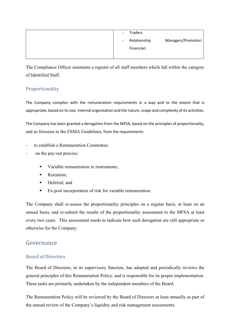| <b>Traders</b><br>$\sim$ |                    |
|--------------------------|--------------------|
| Relationship<br>$\sim$   | Managers/Promotori |
| Finanziari               |                    |
|                          |                    |

The Compliance Officer maintains a register of all staff members which fall within the category of Identified Staff.

## <span id="page-5-0"></span>Proportionality

The Company complies with the remuneration requirements in a way and to the extent that is appropriate, based on its size, internal organisation and the nature, scope and complexity of its activities.

The Company has been granted a derogation from the MFSA, based on the principles of proportionality, and as foreseen in the ESMA Guidelines, from the requirements:

- to establish a Remuneration Committee;
- on the pay-out process:
	- Variable remuneration in instruments:
	- Retention;
	- Deferral: and
	- Ex-post incorporation of risk for variable remuneration.

The Company shall re-assess the proportionality principles on a regular basis, at least on an annual basis, and re-submit the results of the proportionality assessment to the MFSA at least every two years. This assessment needs to indicate how such derogation are still appropriate or otherwise for the Company.

## <span id="page-5-1"></span>Governance

## <span id="page-5-2"></span>Board of Directors

The Board of Directors, in its supervisory function, has adopted and periodically reviews the general principles of this Remuneration Policy, and is responsible for its proper implementation. These tasks are primarily undertaken by the independent members of the Board.

The Remuneration Policy will be reviewed by the Board of Directors at least annually as part of the annual review of the Company's liquidity and risk management assessments.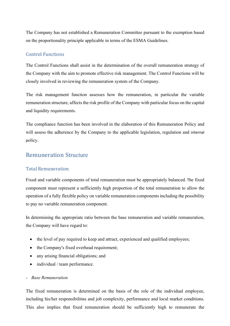The Company has not established a Remuneration Committee pursuant to the exemption based on the proportionality principle applicable in terms of the ESMA Guidelines.

#### <span id="page-6-0"></span>Control Functions

The Control Functions shall assist in the determination of the overall remuneration strategy of the Company with the aim to promote effective risk management. The Control Functions will be closely involved in reviewing the remuneration system of the Company.

The risk management function assesses how the remuneration, in particular the variable remuneration structure, affects the risk profile of the Company with particular focus on the capital and liquidity requirements.

The compliance function has been involved in the elaboration of this Remuneration Policy and will assess the adherence by the Company to the applicable legislation, regulation and internal policy.

## <span id="page-6-1"></span>Remuneration Structure

## <span id="page-6-2"></span>Total Remuneration

Fixed and variable components of total remuneration must be appropriately balanced. The fixed component must represent a sufficiently high proportion of the total remuneration to allow the operation of a fully flexible policy on variable remuneration components including the possibility to pay no variable remuneration component.

In determining the appropriate ratio between the base remuneration and variable remuneration, the Company will have regard to:

- the level of pay required to keep and attract, experienced and qualified employees;
- the Company's fixed overhead requirement;
- any arising financial obligations; and
- individual / team performance.

#### - *Base Remuneration*

The fixed remuneration is determined on the basis of the role of the individual employee, including his/her responsibilities and job complexity, performance and local market conditions. This also implies that fixed remuneration should be sufficiently high to remunerate the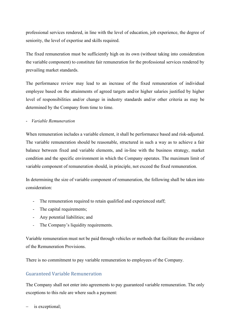professional services rendered, in line with the level of education, job experience, the degree of seniority, the level of expertise and skills required.

The fixed remuneration must be sufficiently high on its own (without taking into consideration the variable component) to constitute fair remuneration for the professional services rendered by prevailing market standards.

The performance review may lead to an increase of the fixed remuneration of individual employee based on the attainments of agreed targets and/or higher salaries justified by higher level of responsibilities and/or change in industry standards and/or other criteria as may be determined by the Company from time to time.

- *Variable Remuneration*

When remuneration includes a variable element, it shall be performance based and risk-adjusted. The variable remuneration should be reasonable, structured in such a way as to achieve a fair balance between fixed and variable elements, and in-line with the business strategy, market condition and the specific environment in which the Company operates. The maximum limit of variable component of remuneration should, in principle, not exceed the fixed remuneration.

In determining the size of variable component of remuneration, the following shall be taken into consideration:

- The remuneration required to retain qualified and experienced staff;
- The capital requirements;
- Any potential liabilities; and
- The Company's liquidity requirements.

Variable remuneration must not be paid through vehicles or methods that facilitate the avoidance of the Remuneration Provisions.

There is no commitment to pay variable remuneration to employees of the Company.

## <span id="page-7-0"></span>Guaranteed Variable Remuneration

The Company shall not enter into agreements to pay guaranteed variable remuneration. The only exceptions to this rule are where such a payment:

is exceptional;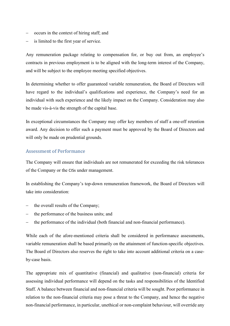- − occurs in the context of hiring staff; and
- is limited to the first year of service.

Any remuneration package relating to compensation for, or buy out from, an employee's contracts in previous employment is to be aligned with the long-term interest of the Company, and will be subject to the employee meeting specified objectives.

In determining whether to offer guaranteed variable remuneration, the Board of Directors will have regard to the individual's qualifications and experience, the Company's need for an individual with such experience and the likely impact on the Company. Consideration may also be made vis-à-vis the strength of the capital base.

In exceptional circumstances the Company may offer key members of staff a one-off retention award. Any decision to offer such a payment must be approved by the Board of Directors and will only be made on prudential grounds.

### <span id="page-8-0"></span>Assessment of Performance

The Company will ensure that individuals are not remunerated for exceeding the risk tolerances of the Company or the CISs under management.

In establishing the Company's top-down remuneration framework, the Board of Directors will take into consideration:

- the overall results of the Company;
- the performance of the business units; and
- the performance of the individual (both financial and non-financial performance).

While each of the afore-mentioned criteria shall be considered in performance assessments, variable remuneration shall be based primarily on the attainment of function-specific objectives. The Board of Directors also reserves the right to take into account additional criteria on a caseby-case basis.

The appropriate mix of quantitative (financial) and qualitative (non-financial) criteria for assessing individual performance will depend on the tasks and responsibilities of the Identified Staff. A balance between financial and non-financial criteria will be sought. Poor performance in relation to the non-financial criteria may pose a threat to the Company, and hence the negative non-financial performance, in particular, unethical or non-complaint behaviour, will override any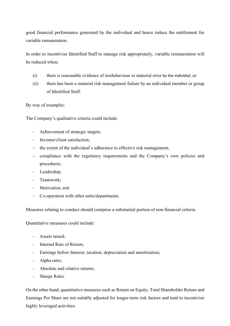good financial performance generated by the individual and hence reduce the entitlement for variable remuneration.

In order to incentivise Identified Staff to manage risk appropriately, variable remuneration will be reduced when;

- (i) there is reasonable evidence of misbehaviour or material error by the individial; or
- (ii) there has been a material risk management failure by an individual member or group of Identified Staff.

By way of examples:

The Company's qualitative criteria could include:

- Achievement of strategic targets;
- Investor/client satisfaction;
- the extent of the individual's adherence to effective risk management;
- compliance with the regulatory requirements and the Company's own policies and procedures;
- Leadership;
- Teamwork;
- Motivation; and
- Co-operation with other units/departments.

Measures relating to conduct should comprise a substantial portion of non-financial criteria.

Quantitative measures could include:

- Assets raised;
- Internal Rate of Return;
- Earnings before Interest, taxation, depreciation and amortisation;
- Alpha ratio;
- Absolute and relative returns;
- Sharpe Ratio.

On the other hand, quantitative measures such as Return on Equity, Total Shareholder Return and Earnings Per Share are not suitably adjusted for longer-term risk factors and tend to incentivise highly leveraged activities.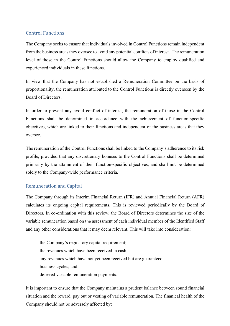## <span id="page-10-0"></span>Control Functions

The Company seeks to ensure that individuals involved in Control Functions remain independent from the business areas they oversee to avoid any potential conflicts of interest. The remuneration level of those in the Control Functions should allow the Company to employ qualified and experienced individuals in these functions.

In view that the Company has not established a Remuneration Committee on the basis of proportionality, the remuneration attributed to the Control Functions is directly overseen by the Board of Directors.

In order to prevent any avoid conflict of interest, the remuneration of those in the Control Functions shall be determined in accordance with the achievement of function-specific objectives, which are linked to their functions and independent of the business areas that they oversee.

The remuneration of the Control Functions shall be linked to the Company's adherence to its risk profile, provided that any discretionary bonuses to the Control Functions shall be determined primarily by the attainment of their function-specific objectives, and shall not be determined solely to the Company-wide performance criteria.

## <span id="page-10-1"></span>Remuneration and Capital

The Company through its Interim Financial Return (IFR) and Annual Financial Return (AFR) calculates its ongoing capital requirements. This is reviewed periodically by the Board of Directors. In co-ordination with this review, the Board of Directors determines the size of the variable remuneration based on the assessment of each individual member of the Identified Staff and any other considerations that it may deem relevant. This will take into consideration:

- the Company's regulatory capital requirement;
- the revenues which have been received in cash;
- any revenues which have not yet been received but are guaranteed;
- business cycles; and
- deferred variable remuneration payments.

It is important to ensure that the Company maintains a prudent balance between sound financial situation and the reward, pay out or vesting of variable remuneration. The finanical health of the Company should not be adversely affected by: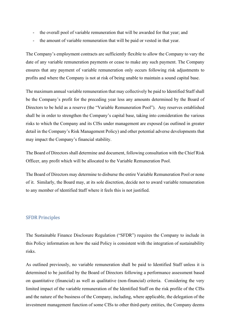- the overall pool of variable remuneration that will be awarded for that year; and
- the amount of variable remuneration that will be paid or vested in that year.

The Company's employment contracts are sufficiently flexible to allow the Company to vary the date of any variable remuneration payments or cease to make any such payment. The Company ensures that any payment of variable remuneration only occurs following risk adjustments to profits and where the Company is not at risk of being unable to maintain a sound capital base.

The maximum annual variable remuneration that may collectively be paid to Identified Staff shall be the Company's profit for the preceding year less any amounts determined by the Board of Directors to be held as a reserve (the "Variable Remuneration Pool"). Any reserves established shall be in order to strengthen the Company's capital base, taking into consideration the various risks to which the Company and its CISs under management are exposed (as outlined in greater detail in the Company's Risk Management Policy) and other potential adverse developments that may impact the Company's financial stability.

The Board of Directors shall determine and document, following consultation with the Chief Risk Officer, any profit which will be allocated to the Variable Remuneration Pool.

The Board of Directors may determine to disburse the entire Variable Remuneration Pool or none of it. Similarly, the Board may, at its sole discretion, decide not to award variable remuneration to any member of Identified Staff where it feels this is not justified.

#### <span id="page-11-0"></span>SFDR Principles

The Sustainable Finance Disclosure Regulation ("SFDR") requires the Company to include in this Policy information on how the said Policy is consistent with the integration of sustainability risks.

As outlined previously, no variable remuneration shall be paid to Identified Staff unless it is determined to be justified by the Board of Directors following a performance assessment based on quantitative (financial) as well as qualitative (non-financial) criteria. Considering the very limited impact of the variable remuneration of the Identified Staff on the risk profile of the CISs and the nature of the business of the Company, including, where applicable, the delegation of the investment management function of some CISs to other third-party entities, the Company deems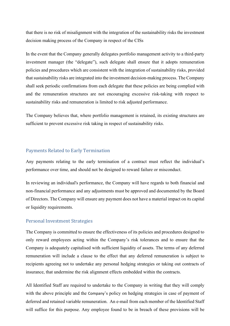that there is no risk of misalignment with the integration of the sustainability risks the investment decision making process of the Company in respect of the CISs

In the event that the Company generally delegates portfolio management activity to a third-party investment manager (the "delegate"), such delegate shall ensure that it adopts remuneration policies and procedures which are consistent with the integration of sustainability risks, provided that sustainability risks are integrated into the investment decision-making process. The Company shall seek periodic confirmations from each delegate that these policies are being complied with and the remuneration structures are not encouraging excessive risk-taking with respect to sustainability risks and remuneration is limited to risk adjusted performance.

The Company believes that, where portfolio management is retained, its existing structures are sufficient to prevent excessive risk taking in respect of sustainability risks.

#### <span id="page-12-0"></span>Payments Related to Early Termination

Any payments relating to the early termination of a contract must reflect the individual's performance over time, and should not be designed to reward failure or misconduct.

In reviewing an individual's performance, the Company will have regards to both financial and non-financial performance and any adjustments must be approved and documented by the Board of Directors. The Company will ensure any payment does not have a material impact on its capital or liquidity requirements.

#### <span id="page-12-1"></span>Personal Investment Strategies

The Company is committed to ensure the effectiveness of its policies and procedures designed to only reward employees acting within the Company's risk tolerances and to ensure that the Company is adequately capitalised with sufficient liquidity of assets. The terms of any deferred remuneration will include a clause to the effect that any deferred remuneration is subject to recipients agreeing not to undertake any personal hedging strategies or taking out contracts of insurance, that undermine the risk alignment effects embedded within the contracts.

All Identified Staff are required to undertake to the Company in writing that they will comply with the above principle and the Company's policy on hedging strategies in case of payment of deferred and retained variable remuneration. An e-mail from each member of the Identified Staff will suffice for this purpose. Any employee found to be in breach of these provisions will be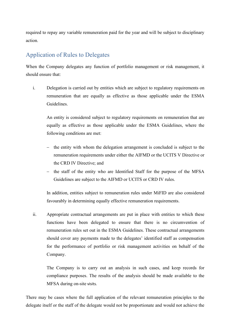required to repay any variable remuneration paid for the year and will be subject to disciplinary action.

## <span id="page-13-0"></span>Application of Rules to Delegates

When the Company delegates any function of portfolio management or risk management, it should ensure that:

i. Delegation is carried out by entities which are subject to regulatory requirements on remuneration that are equally as effective as those applicable under the ESMA Guidelines.

An entity is considered subject to regulatory requirements on remuneration that are equally as effective as those applicable under the ESMA Guidelines, where the following conditions are met:

- − the entity with whom the delegation arrangement is concluded is subject to the remuneration requirements under either the AIFMD or the UCITS V Directive or the CRD IV Directive; and
- − the staff of the entity who are Identified Staff for the purpose of the MFSA Guidelines are subject to the AIFMD or UCITS or CRD IV rules.

In addition, entities subject to remuneration rules under MiFID are also considered favourably in determining equally effective remuneration requirements.

ii. Appropriate contractual arrangements are put in place with entities to which these functions have been delegated to ensure that there is no circumvention of remuneration rules set out in the ESMA Guidelines. These contractual arrangements should cover any payments made to the delegates' identified staff as compensation for the performance of portfolio or risk management activities on behalf of the Company.

The Company is to carry out an analysis in such cases, and keep records for compliance purposes. The results of the analysis should be made available to the MFSA during on-site visits.

There may be cases where the full application of the relevant remuneration principles to the delegate itself or the staff of the delegate would not be proportionate and would not achieve the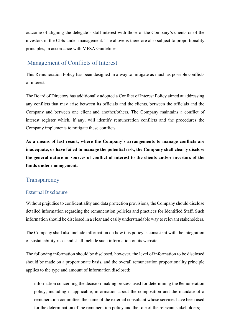outcome of aligning the delegate's staff interest with those of the Company's clients or of the investors in the CISs under management. The above is therefore also subject to proportionality principles, in accordance with MFSA Guidelines.

## <span id="page-14-0"></span>Management of Conflicts of Interest

This Remuneration Policy has been designed in a way to mitigate as much as possible conflicts of interest.

The Board of Directors has additionally adopted a Conflict of Interest Policy aimed at addressing any conflicts that may arise between its officials and the clients, between the officials and the Company and between one client and another/others. The Company maintains a conflict of interest register which, if any, will identify remuneration conflicts and the procedures the Company implements to mitigate these conflicts.

**As a means of last resort, where the Company's arrangements to manage conflicts are inadequate, or have failed to manage the potential risk, the Company shall clearly disclose the general nature or sources of conflict of interest to the clients and/or investors of the funds under management.**

## <span id="page-14-1"></span>**Transparency**

## <span id="page-14-2"></span>External Disclosure

Without prejudice to confidentiality and data protection provisions, the Company should disclose detailed information regarding the remuneration policies and practices for Identified Staff. Such information should be disclosed in a clear and easily understandable way to relevant stakeholders.

The Company shall also include information on how this policy is consistent with the integration of sustainability risks and shall include such information on its website.

The following information should be disclosed, however, the level of information to be disclosed should be made on a proportionate basis, and the overall remuneration proportionality principle applies to the type and amount of information disclosed:

information concerning the decision-making process used for determining the Remuneration policy, including if applicable, information about the composition and the mandate of a remuneration committee, the name of the external consultant whose services have been used for the determination of the remuneration policy and the role of the relevant stakeholders;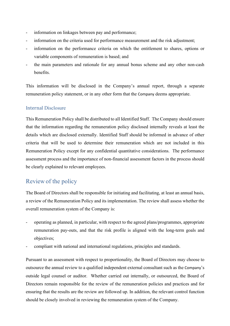- information on linkages between pay and performance;
- information on the criteria used for performance measurement and the risk adjustment;
- information on the performance criteria on which the entitlement to shares, options or variable components of remuneration is based; and
- the main parameters and rationale for any annual bonus scheme and any other non-cash benefits.

This information will be disclosed in the Company's annual report, through a separate remuneration policy statement, or in any other form that the Company deems appropriate.

## <span id="page-15-0"></span>Internal Disclosure

This Remuneration Policy shall be distributed to all Identified Staff. The Company should ensure that the information regarding the remuneration policy disclosed internally reveals at least the details which are disclosed externally. Identified Staff should be informed in advance of other criteria that will be used to determine their remuneration which are not included in this Remuneration Policy except for any confidential quantitative considerations. The performance assessment process and the importance of non-financial assessment factors in the process should be clearly explained to relevant employees.

## <span id="page-15-1"></span>Review of the policy

The Board of Directors shall be responsible for initiating and facilitating, at least an annual basis, a review of the Remuneration Policy and its implementation. The review shall assess whether the overall remuneration system of the Company is:

- operating as planned, in particular, with respect to the agreed plans/programmes, appropriate remuneration pay-outs, and that the risk profile is aligned with the long-term goals and objectives;
- compliant with national and international regulations, principles and standards.

Pursuant to an assessment with respect to proportionality, the Board of Directors may choose to outsource the annual review to a qualified independent external consultant such as the Company's outside legal counsel or auditor. Whether carried out internally, or outsourced, the Board of Directors remain responsible for the review of the remuneration policies and practices and for ensuring that the results are the review are followed up. In addition, the relevant control function should be closely involved in reviewing the remuneration system of the Company.